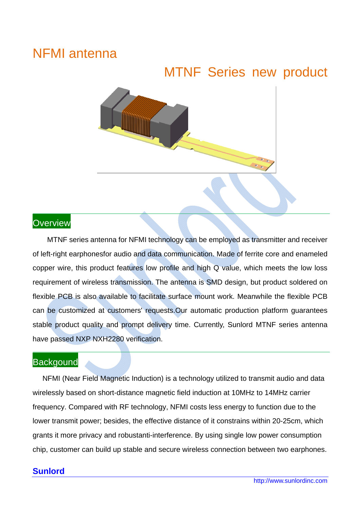# NFMI antenna

# MTNF Series new product



### **Overview**

MTNF series antenna for NFMI technology can be employed as transmitter and receiver of left-right earphonesfor audio and data communication. Made of ferrite core and enameled copper wire, this product features low profile and high Q value, which meets the low loss requirement of wireless transmission. The antenna is SMD design, but product soldered on flexible PCB is also available to facilitate surface mount work. Meanwhile the flexible PCB can be customized at customers' requests.Our automatic production platform guarantees stable product quality and prompt delivery time. Currently, Sunlord MTNF series antenna have passed NXP NXH2280 verification.

### **Backgound**

NFMI (Near Field Magnetic Induction) is a technology utilized to transmit audio and data wirelessly based on short-distance magnetic field induction at 10MHz to 14MHz carrier frequency. Compared with RF technology, NFMI costs less energy to function due to the lower transmit power; besides, the effective distance of it constrains within 20-25cm, which grants it more privacy and robustanti-interference. By using single low power consumption chip, customer can build up stable and secure wireless connection between two earphones.

#### **Sunlord**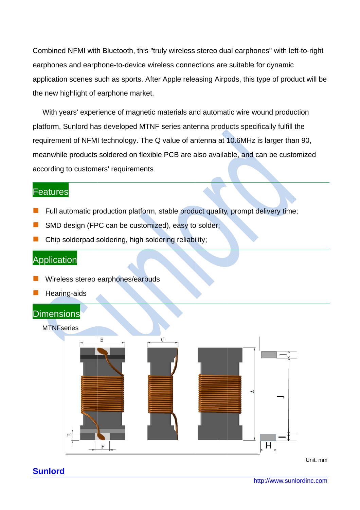Combined NFMI with Bluetooth, this "truly wireless stereo dual earphones" with left-to-right earphones and earphone-to-device wireless connections are suitable for dynamic application scenes such as sports. After Apple releasing Airpods, this type of product will be the new highlight of earphone market.

With years' experience of magnetic materials and automatic wire wound production platform, Sunlord has developed MTNF series antenna products specifically fulfill the requirement of NFMI technology. The Q value of antenna at 10.6MHz is larger than 90, meanwhile products soldered on flexible PCB are also available, and can be customized according to customers' requirements.

### Features

- Full automatic production platform, stable product quality, prompt delivery time;
- SMD design (FPC can be customized), easy to solder;
- Chip solderpad soldering, high soldering reliability;

### **Application**

- Wireless stereo earphones/earbuds
- Hearing-aids

### Dimensions

#### **MTNFseries**



**Sunlord** 

Unit: mm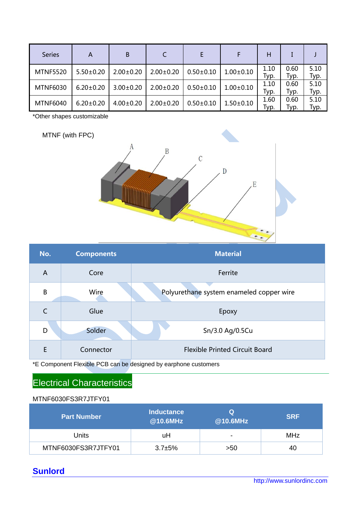| <b>Series</b>   | A               | B               |                 |                 |                 | н            |              |              |
|-----------------|-----------------|-----------------|-----------------|-----------------|-----------------|--------------|--------------|--------------|
| <b>MTNF5520</b> | $5.50 \pm 0.20$ | $2.00 \pm 0.20$ | $2.00 \pm 0.20$ | $0.50 \pm 0.10$ | $1.00 \pm 0.10$ | 1.10<br>Typ. | 0.60<br>Typ. | 5.10<br>Typ. |
| <b>MTNF6030</b> | $6.20 \pm 0.20$ | $3.00 \pm 0.20$ | $2.00 \pm 0.20$ | $0.50 \pm 0.10$ | $1.00 \pm 0.10$ | 1.10<br>Typ. | 0.60<br>Typ. | 5.10<br>Typ. |
| <b>MTNF6040</b> | $6.20 \pm 0.20$ | $4.00 \pm 0.20$ | $2.00 \pm 0.20$ | $0.50 \pm 0.10$ | $1.50 \pm 0.10$ | 1.60<br>Typ. | 0.60<br>Typ. | 5.10<br>Typ. |

\*Other shapes customizable

MTNF (with FPC)



| No. | <b>Components</b> | <b>Material</b>                          |  |  |
|-----|-------------------|------------------------------------------|--|--|
| A   | Core              | Ferrite                                  |  |  |
| B   | Wire              | Polyurethane system enameled copper wire |  |  |
|     | Glue              | Epoxy                                    |  |  |
| D   | Solder            | Sn/3.0 Ag/0.5Cu                          |  |  |
| E   | Connector         | <b>Flexible Printed Circuit Board</b>    |  |  |

\*E Component Flexible PCB can be designed by earphone customers

## Electrical Characteristics

#### MTNF6030FS3R7JTFY01

| <b>Part Number</b>  | <b>Inductance</b><br>@10.6MHz | Q<br>@10.6MHz            | <b>SRF</b> |
|---------------------|-------------------------------|--------------------------|------------|
| Units               | uH                            | $\overline{\phantom{0}}$ | <b>MHz</b> |
| MTNF6030FS3R7JTFY01 | $3.7 + 5%$                    | >50                      | 40         |